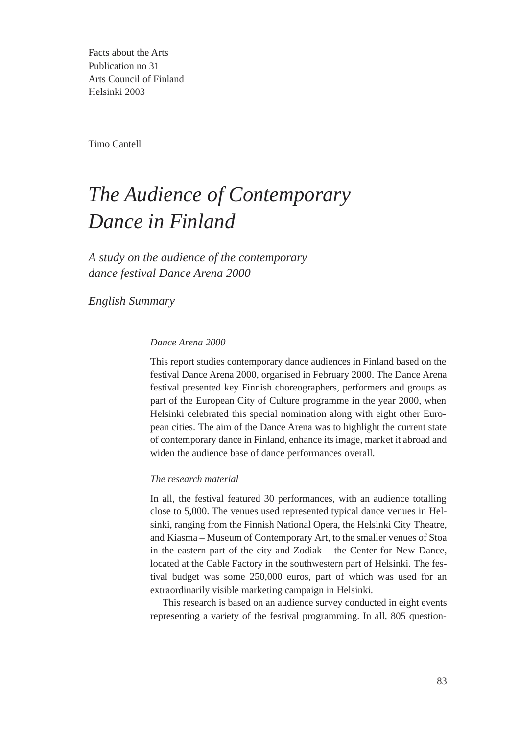Facts about the Arts Publication no 31 Arts Council of Finland Helsinki 2003

Timo Cantell

# *The Audience of Contemporary Dance in Finland*

*A study on the audience of the contemporary dance festival Dance Arena 2000*

*English Summary*

### *Dance Arena 2000*

This report studies contemporary dance audiences in Finland based on the festival Dance Arena 2000, organised in February 2000. The Dance Arena festival presented key Finnish choreographers, performers and groups as part of the European City of Culture programme in the year 2000, when Helsinki celebrated this special nomination along with eight other European cities. The aim of the Dance Arena was to highlight the current state of contemporary dance in Finland, enhance its image, market it abroad and widen the audience base of dance performances overall.

### *The research material*

In all, the festival featured 30 performances, with an audience totalling close to 5,000. The venues used represented typical dance venues in Helsinki, ranging from the Finnish National Opera, the Helsinki City Theatre, and Kiasma – Museum of Contemporary Art, to the smaller venues of Stoa in the eastern part of the city and Zodiak – the Center for New Dance, located at the Cable Factory in the southwestern part of Helsinki. The festival budget was some 250,000 euros, part of which was used for an extraordinarily visible marketing campaign in Helsinki.

This research is based on an audience survey conducted in eight events representing a variety of the festival programming. In all, 805 question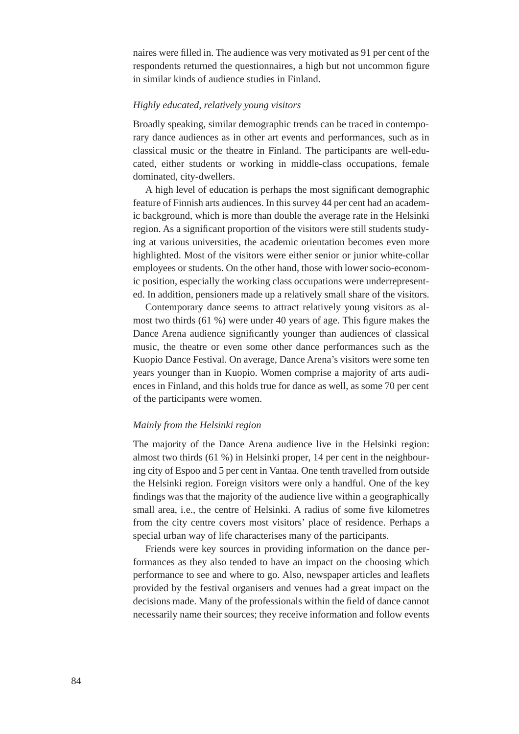naires were filled in. The audience was very motivated as 91 per cent of the respondents returned the questionnaires, a high but not uncommon figure in similar kinds of audience studies in Finland.

#### *Highly educated, relatively young visitors*

Broadly speaking, similar demographic trends can be traced in contemporary dance audiences as in other art events and performances, such as in classical music or the theatre in Finland. The participants are well-educated, either students or working in middle-class occupations, female dominated, city-dwellers.

A high level of education is perhaps the most significant demographic feature of Finnish arts audiences. In this survey 44 per cent had an academic background, which is more than double the average rate in the Helsinki region. As a significant proportion of the visitors were still students studying at various universities, the academic orientation becomes even more highlighted. Most of the visitors were either senior or junior white-collar employees or students. On the other hand, those with lower socio-economic position, especially the working class occupations were underrepresented. In addition, pensioners made up a relatively small share of the visitors.

Contemporary dance seems to attract relatively young visitors as almost two thirds (61 %) were under 40 years of age. This figure makes the Dance Arena audience significantly younger than audiences of classical music, the theatre or even some other dance performances such as the Kuopio Dance Festival. On average, Dance Arena's visitors were some ten years younger than in Kuopio. Women comprise a majority of arts audiences in Finland, and this holds true for dance as well, as some 70 per cent of the participants were women.

## *Mainly from the Helsinki region*

The majority of the Dance Arena audience live in the Helsinki region: almost two thirds (61 %) in Helsinki proper, 14 per cent in the neighbouring city of Espoo and 5 per cent in Vantaa. One tenth travelled from outside the Helsinki region. Foreign visitors were only a handful. One of the key findings was that the majority of the audience live within a geographically small area, i.e., the centre of Helsinki. A radius of some five kilometres from the city centre covers most visitors' place of residence. Perhaps a special urban way of life characterises many of the participants.

Friends were key sources in providing information on the dance performances as they also tended to have an impact on the choosing which performance to see and where to go. Also, newspaper articles and leaflets provided by the festival organisers and venues had a great impact on the decisions made. Many of the professionals within the field of dance cannot necessarily name their sources; they receive information and follow events